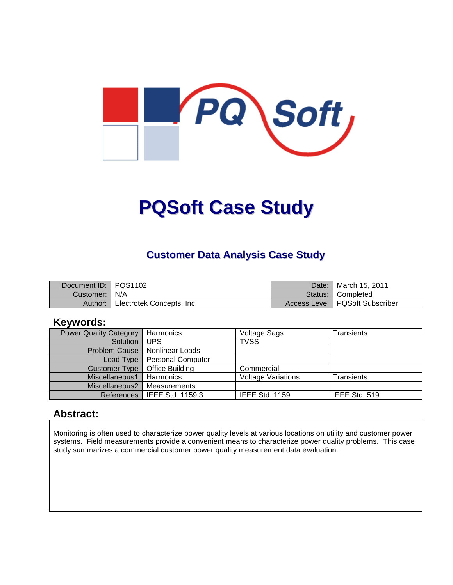

# **PQSoft Case Study**

#### **Customer Data Analysis Case Study**

| Document ID: PQS1102 |                           | Date:   March 15, 2011           |
|----------------------|---------------------------|----------------------------------|
| Customer:   N/A      |                           | Status: Completed                |
| Author:              | Electrotek Concepts, Inc. | Access Level   PQSoft Subscriber |

#### **Keywords:**

| <b>Power Quality Category</b> | Harmonics                | Voltage Sags              | Transients    |
|-------------------------------|--------------------------|---------------------------|---------------|
| Solution                      | <b>UPS</b>               | <b>TVSS</b>               |               |
| Problem Cause                 | Nonlinear Loads          |                           |               |
| Load Type                     | <b>Personal Computer</b> |                           |               |
| <b>Customer Type</b>          | Office Building          | Commercial                |               |
| Miscellaneous1                | Harmonics                | <b>Voltage Variations</b> | Transients    |
| Miscellaneous2                | Measurements             |                           |               |
| References                    | IEEE Std. 1159.3         | <b>IEEE Std. 1159</b>     | IEEE Std. 519 |

#### **Abstract:**

Monitoring is often used to characterize power quality levels at various locations on utility and customer power systems. Field measurements provide a convenient means to characterize power quality problems. This case study summarizes a commercial customer power quality measurement data evaluation.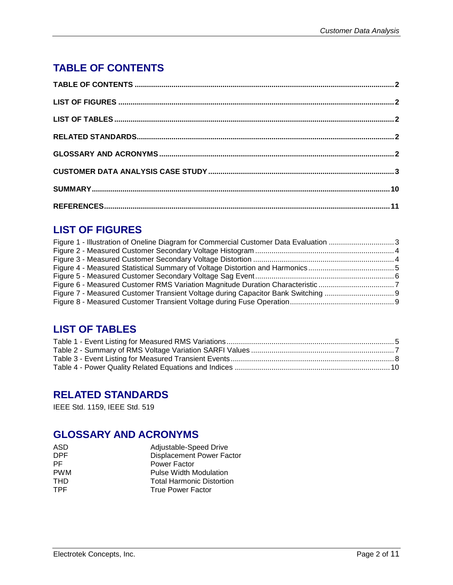# **TABLE OF CONTENTS**

## **LIST OF FIGURES**

| Figure 1 - Illustration of Oneline Diagram for Commercial Customer Data Evaluation 3 |  |
|--------------------------------------------------------------------------------------|--|
|                                                                                      |  |
|                                                                                      |  |
|                                                                                      |  |
|                                                                                      |  |
|                                                                                      |  |
| Figure 7 - Measured Customer Transient Voltage during Capacitor Bank Switching       |  |
|                                                                                      |  |
|                                                                                      |  |

#### **LIST OF TABLES**

## **RELATED STANDARDS**

IEEE Std. 1159, IEEE Std. 519

#### **GLOSSARY AND ACRONYMS**

| ASD        | Adjustable-Speed Drive           |
|------------|----------------------------------|
| <b>DPF</b> | <b>Displacement Power Factor</b> |
| PF.        | Power Factor                     |
| <b>PWM</b> | <b>Pulse Width Modulation</b>    |
| <b>THD</b> | <b>Total Harmonic Distortion</b> |
| TPF.       | <b>True Power Factor</b>         |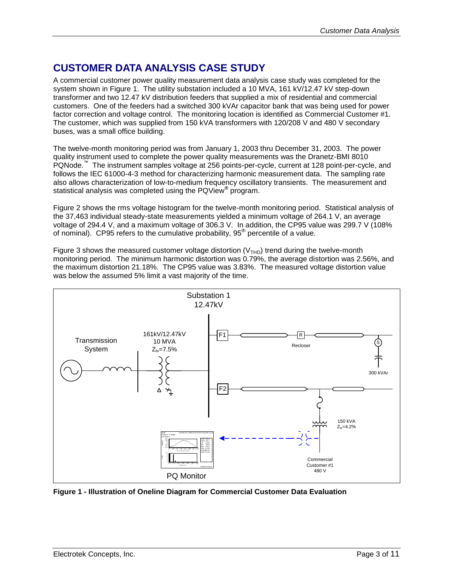## **CUSTOMER DATA ANALYSIS CASE STUDY**

A commercial customer power quality measurement data analysis case study was completed for the system shown in [Figure 1.](#page-2-0) The utility substation included a 10 MVA, 161 kV/12.47 kV step-down transformer and two 12.47 kV distribution feeders that supplied a mix of residential and commercial customers. One of the feeders had a switched 300 kVAr capacitor bank that was being used for power factor correction and voltage control. The monitoring location is identified as Commercial Customer #1. The customer, which was supplied from 150 kVA transformers with 120/208 V and 480 V secondary buses, was a small office building.

The twelve-month monitoring period was from January 1, 2003 thru December 31, 2003. The power quality instrument used to complete the power quality measurements was the Dranetz-BMI 8010 PQNode.™ The instrument samples voltage at 256 points-per-cycle, current at 128 point-per-cycle, and follows the IEC 61000-4-3 method for characterizing harmonic measurement data. The sampling rate also allows characterization of low-to-medium frequency oscillatory transients. The measurement and statistical analysis was completed using the PQView**®** program.

[Figure 2](#page-3-0) shows the rms voltage histogram for the twelve-month monitoring period. Statistical analysis of the 37,463 individual steady-state measurements yielded a minimum voltage of 264.1 V, an average voltage of 294.4 V, and a maximum voltage of 306.3 V. In addition, the CP95 value was 299.7 V (108% of nominal). CP95 refers to the cumulative probability, 95<sup>th</sup> percentile of a value.

[Figure 3](#page-3-1) shows the measured customer voltage distortion  $(V<sub>THD</sub>)$  trend during the twelve-month monitoring period. The minimum harmonic distortion was 0.79%, the average distortion was 2.56%, and the maximum distortion 21.18%. The CP95 value was 3.83%. The measured voltage distortion value was below the assumed 5% limit a vast majority of the time.



<span id="page-2-0"></span>**Figure 1 - Illustration of Oneline Diagram for Commercial Customer Data Evaluation**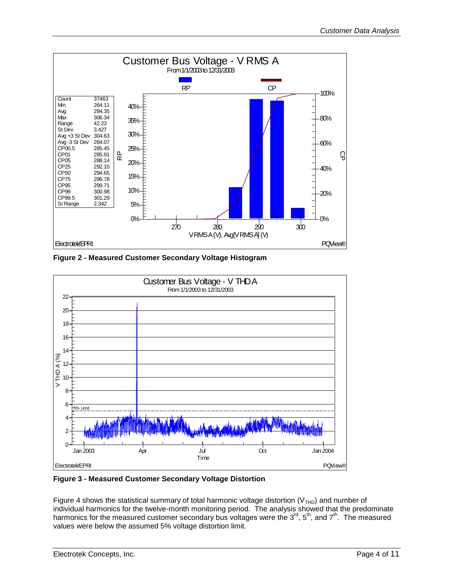

<span id="page-3-0"></span>**Figure 2 - Measured Customer Secondary Voltage Histogram**



<span id="page-3-1"></span>**Figure 3 - Measured Customer Secondary Voltage Distortion**

[Figure 4](#page-4-0) shows the statistical summary of total harmonic voltage distortion ( $V<sub>THD</sub>$ ) and number of individual harmonics for the twelve-month monitoring period. The analysis showed that the predominate harmonics for the measured customer secondary bus voltages were the  $3^{\text{rd}}$ ,  $5^{\text{th}}$ , and  $7^{\text{th}}$ . The measured values were below the assumed 5% voltage distortion limit.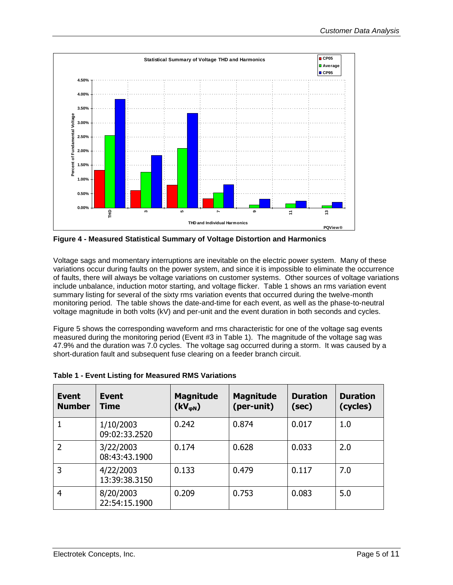

<span id="page-4-0"></span>**Figure 4 - Measured Statistical Summary of Voltage Distortion and Harmonics**

Voltage sags and momentary interruptions are inevitable on the electric power system. Many of these variations occur during faults on the power system, and since it is impossible to eliminate the occurrence of faults, there will always be voltage variations on customer systems. Other sources of voltage variations include unbalance, induction motor starting, and voltage flicker. [Table 1](#page-4-1) shows an rms variation event summary listing for several of the sixty rms variation events that occurred during the twelve-month monitoring period. The table shows the date-and-time for each event, as well as the phase-to-neutral voltage magnitude in both volts (kV) and per-unit and the event duration in both seconds and cycles.

[Figure 5](#page-5-0) shows the corresponding waveform and rms characteristic for one of the voltage sag events measured during the monitoring period (Event #3 in [Table 1\)](#page-4-1). The magnitude of the voltage sag was 47.9% and the duration was 7.0 cycles. The voltage sag occurred during a storm. It was caused by a short-duration fault and subsequent fuse clearing on a feeder branch circuit.

| Event<br><b>Number</b> | Event<br><b>Time</b>       | <b>Magnitude</b><br>$(kV_{\phi N})$ | <b>Magnitude</b><br>(per-unit) | <b>Duration</b><br>(sec) | <b>Duration</b><br>(cycles) |
|------------------------|----------------------------|-------------------------------------|--------------------------------|--------------------------|-----------------------------|
|                        | 1/10/2003<br>09:02:33.2520 | 0.242                               | 0.874                          | 0.017                    | 1.0                         |
| 2                      | 3/22/2003<br>08:43:43.1900 | 0.174                               | 0.628                          | 0.033                    | 2.0                         |
| 3                      | 4/22/2003<br>13:39:38.3150 | 0.133                               | 0.479                          | 0.117                    | 7.0                         |
| 4                      | 8/20/2003<br>22:54:15.1900 | 0.209                               | 0.753                          | 0.083                    | 5.0                         |

<span id="page-4-1"></span>

|  |  |  | <b>Table 1 - Event Listing for Measured RMS Variations</b> |
|--|--|--|------------------------------------------------------------|
|  |  |  |                                                            |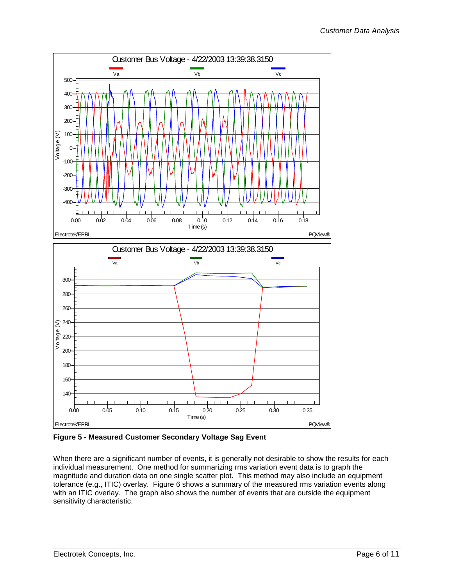

<span id="page-5-0"></span>**Figure 5 - Measured Customer Secondary Voltage Sag Event**

When there are a significant number of events, it is generally not desirable to show the results for each individual measurement. One method for summarizing rms variation event data is to graph the magnitude and duration data on one single scatter plot. This method may also include an equipment tolerance (e.g., ITIC) overlay. [Figure 6](#page-6-0) shows a summary of the measured rms variation events along with an ITIC overlay. The graph also shows the number of events that are outside the equipment sensitivity characteristic.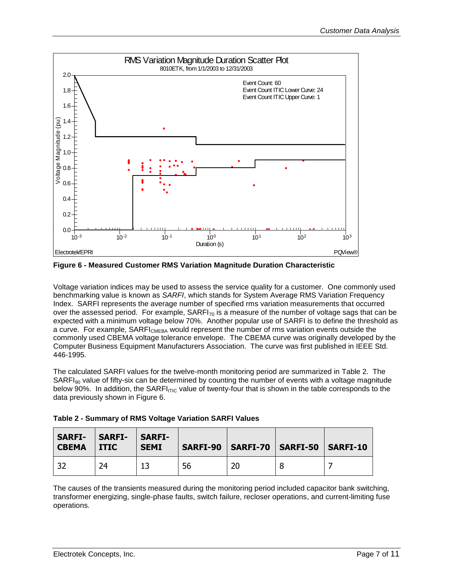

<span id="page-6-0"></span>**Figure 6 - Measured Customer RMS Variation Magnitude Duration Characteristic**

Voltage variation indices may be used to assess the service quality for a customer. One commonly used benchmarking value is known as *SARFI*, which stands for System Average RMS Variation Frequency Index. SARFI represents the average number of specified rms variation measurements that occurred over the assessed period. For example,  $SARFI_{70}$  is a measure of the number of voltage sags that can be expected with a minimum voltage below 70%. Another popular use of SARFI is to define the threshold as a curve. For example, SARFI<sub>CMEBA</sub> would represent the number of rms variation events outside the commonly used CBEMA voltage tolerance envelope. The CBEMA curve was originally developed by the Computer Business Equipment Manufacturers Association. The curve was first published in IEEE Std. 446-1995.

The calculated SARFI values for the twelve-month monitoring period are summarized in [Table 2.](#page-6-1) The  $SARFI<sub>90</sub>$  value of fifty-six can be determined by counting the number of events with a voltage magnitude below 90%. In addition, the SARFI<sub>ITIC</sub> value of twenty-four that is shown in the table corresponds to the data previously shown in [Figure 6.](#page-6-0)

<span id="page-6-1"></span>

| Table 2 - Summary of RMS Voltage Variation SARFI Values |  |
|---------------------------------------------------------|--|
|---------------------------------------------------------|--|

| <b>SARFI-</b><br><b>CBEMA</b> | <b>SARFI-</b><br><b>ITIC</b> | <b>SARFI-</b><br><b>SEMI</b> |    | SARFI-90   SARFI-70   SARFI-50   SARFI-10 |  |
|-------------------------------|------------------------------|------------------------------|----|-------------------------------------------|--|
|                               | 24                           |                              | 56 | 20                                        |  |

The causes of the transients measured during the monitoring period included capacitor bank switching, transformer energizing, single-phase faults, switch failure, recloser operations, and current-limiting fuse operations.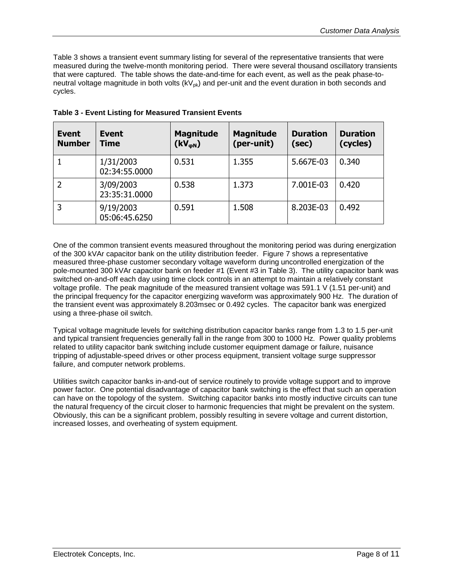[Table 3](#page-7-0) shows a transient event summary listing for several of the representative transients that were measured during the twelve-month monitoring period. There were several thousand oscillatory transients that were captured. The table shows the date-and-time for each event, as well as the peak phase-toneutral voltage magnitude in both volts  $(kV_{pk})$  and per-unit and the event duration in both seconds and cycles.

| <b>Event</b><br><b>Number</b> | <b>Event</b><br><b>Time</b> | <b>Magnitude</b><br>$(kV_{\phi N})$ | <b>Magnitude</b><br>(per-unit) | <b>Duration</b><br>(sec) | <b>Duration</b><br>(cycles) |
|-------------------------------|-----------------------------|-------------------------------------|--------------------------------|--------------------------|-----------------------------|
|                               | 1/31/2003<br>02:34:55.0000  | 0.531                               | 1.355                          | 5.667E-03                | 0.340                       |
|                               | 3/09/2003<br>23:35:31.0000  | 0.538                               | 1.373                          | 7.001E-03                | 0.420                       |
| 3                             | 9/19/2003<br>05:06:45.6250  | 0.591                               | 1.508                          | 8.203E-03                | 0.492                       |

<span id="page-7-0"></span>**Table 3 - Event Listing for Measured Transient Events**

One of the common transient events measured throughout the monitoring period was during energization of the 300 kVAr capacitor bank on the utility distribution feeder. [Figure 7](#page-8-0) shows a representative measured three-phase customer secondary voltage waveform during uncontrolled energization of the pole-mounted 300 kVAr capacitor bank on feeder #1 (Event #3 in [Table 3\)](#page-7-0). The utility capacitor bank was switched on-and-off each day using time clock controls in an attempt to maintain a relatively constant voltage profile. The peak magnitude of the measured transient voltage was 591.1 V (1.51 per-unit) and the principal frequency for the capacitor energizing waveform was approximately 900 Hz. The duration of the transient event was approximately 8.203msec or 0.492 cycles. The capacitor bank was energized using a three-phase oil switch.

Typical voltage magnitude levels for switching distribution capacitor banks range from 1.3 to 1.5 per-unit and typical transient frequencies generally fall in the range from 300 to 1000 Hz. Power quality problems related to utility capacitor bank switching include customer equipment damage or failure, nuisance tripping of adjustable-speed drives or other process equipment, transient voltage surge suppressor failure, and computer network problems.

Utilities switch capacitor banks in-and-out of service routinely to provide voltage support and to improve power factor. One potential disadvantage of capacitor bank switching is the effect that such an operation can have on the topology of the system. Switching capacitor banks into mostly inductive circuits can tune the natural frequency of the circuit closer to harmonic frequencies that might be prevalent on the system. Obviously, this can be a significant problem, possibly resulting in severe voltage and current distortion, increased losses, and overheating of system equipment.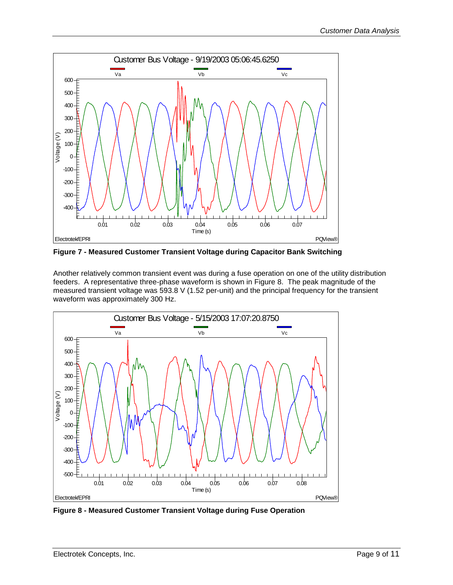

<span id="page-8-0"></span>**Figure 7 - Measured Customer Transient Voltage during Capacitor Bank Switching**

Another relatively common transient event was during a fuse operation on one of the utility distribution feeders. A representative three-phase waveform is shown in [Figure 8.](#page-8-1) The peak magnitude of the measured transient voltage was 593.8 V (1.52 per-unit) and the principal frequency for the transient waveform was approximately 300 Hz.



<span id="page-8-1"></span>**Figure 8 - Measured Customer Transient Voltage during Fuse Operation**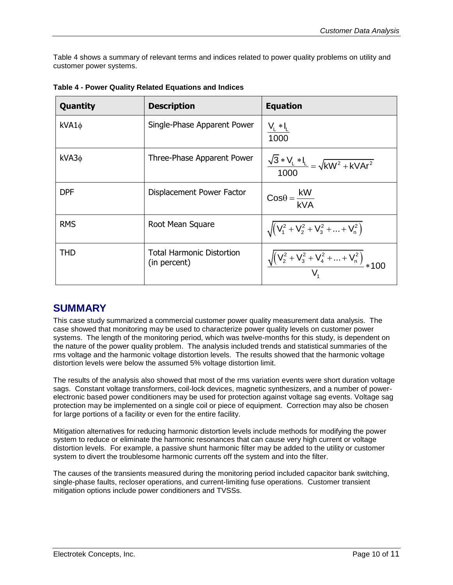[Table 4](#page-9-0) shows a summary of relevant terms and indices related to power quality problems on utility and customer power systems.

| Quantity   | <b>Description</b>                        | <b>Equation</b>                                                 |
|------------|-------------------------------------------|-----------------------------------------------------------------|
| $kVA1\phi$ | Single-Phase Apparent Power               | $\frac{V_{L} * I_{L}}{1000}$                                    |
| $kVA3\phi$ | Three-Phase Apparent Power                | $\frac{\sqrt{3} * V_L * I_L}{1000} = \sqrt{kW^2 + kVAr^2}$      |
| <b>DPF</b> | Displacement Power Factor                 | $\cos\theta = \frac{kW}{kVA}$                                   |
| <b>RMS</b> | Root Mean Square                          | $\sqrt{(V_1^2 + V_2^2 + V_3^2 +  + V_n^2)}$                     |
| <b>THD</b> | Total Harmonic Distortion<br>(in percent) | $\frac{\sqrt{(V_2^2 + V_3^2 + V_4^2 +  + V_n^2)}}{V_1^2}$ * 100 |

<span id="page-9-0"></span>**Table 4 - Power Quality Related Equations and Indices**

## **SUMMARY**

This case study summarized a commercial customer power quality measurement data analysis. The case showed that monitoring may be used to characterize power quality levels on customer power systems. The length of the monitoring period, which was twelve-months for this study, is dependent on the nature of the power quality problem. The analysis included trends and statistical summaries of the rms voltage and the harmonic voltage distortion levels. The results showed that the harmonic voltage distortion levels were below the assumed 5% voltage distortion limit.

The results of the analysis also showed that most of the rms variation events were short duration voltage sags. Constant voltage transformers, coil-lock devices, magnetic synthesizers, and a number of powerelectronic based power conditioners may be used for protection against voltage sag events. Voltage sag protection may be implemented on a single coil or piece of equipment. Correction may also be chosen for large portions of a facility or even for the entire facility.

Mitigation alternatives for reducing harmonic distortion levels include methods for modifying the power system to reduce or eliminate the harmonic resonances that can cause very high current or voltage distortion levels. For example, a passive shunt harmonic filter may be added to the utility or customer system to divert the troublesome harmonic currents off the system and into the filter.

The causes of the transients measured during the monitoring period included capacitor bank switching, single-phase faults, recloser operations, and current-limiting fuse operations. Customer transient mitigation options include power conditioners and TVSSs.